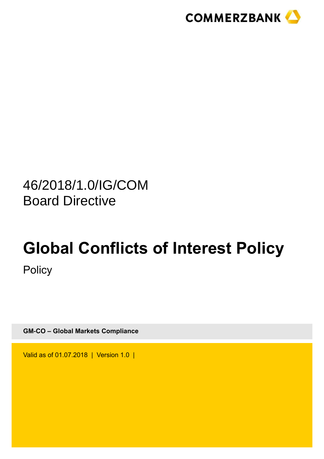

# 46/2018/1.0/IG/COM Board Directive

# **Global Conflicts of Interest Policy Policy**

**GM-CO – Global Markets Compliance**

Valid as of 01.07.2018 | Version 1.0 |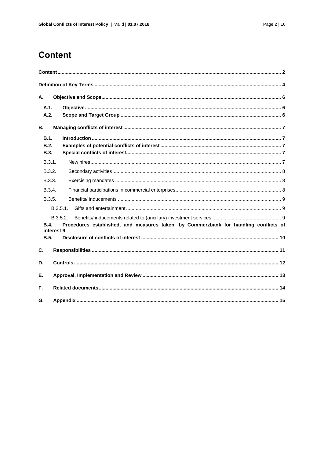## <span id="page-1-0"></span>**Content**

| А. |                                               |                                                                                      |  |  |
|----|-----------------------------------------------|--------------------------------------------------------------------------------------|--|--|
|    | A.1.<br>A.2.                                  |                                                                                      |  |  |
| В. |                                               |                                                                                      |  |  |
|    | <b>B.1.</b><br>B.2.<br><b>B.3.</b>            |                                                                                      |  |  |
|    | B.3.1.                                        |                                                                                      |  |  |
|    | B.3.2.                                        |                                                                                      |  |  |
|    | B.3.3.                                        |                                                                                      |  |  |
|    | B.3.4.                                        |                                                                                      |  |  |
|    | B.3.5.                                        |                                                                                      |  |  |
|    | B.3.5.1.                                      |                                                                                      |  |  |
|    | B.3.5.2.<br><b>B.4.</b><br>interest 9<br>B.5. | Procedures established, and measures taken, by Commerzbank for handling conflicts of |  |  |
| C. |                                               |                                                                                      |  |  |
| D. |                                               |                                                                                      |  |  |
| Е. |                                               |                                                                                      |  |  |
| F. |                                               |                                                                                      |  |  |
| G. |                                               |                                                                                      |  |  |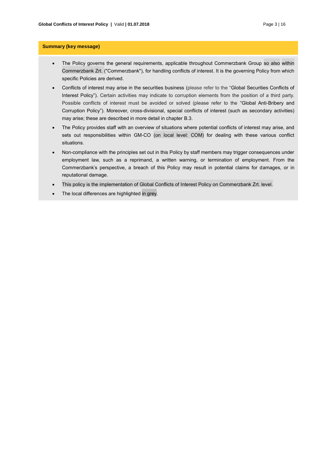#### **Summary (key message)**

- The Policy governs the general requirements, applicable throughout Commerzbank Group so also within Commerzbank Zrt. ("Commerzbank"), for handling conflicts of interest. It is the governing Policy from which specific Policies are derived.
- Conflicts of interest may arise in the securities business (please refer to the "Global Securities Conflicts of Interest Policy"). Certain activities may indicate to corruption elements from the position of a third party. Possible conflicts of interest must be avoided or solved (please refer to the "Global Anti-Bribery and Corruption Policy"). Moreover, cross-divisional, special conflicts of interest (such as secondary activities) may arise; these are described in more detail in chapter [B.3.](#page-6-3)
- The Policy provides staff with an overview of situations where potential conflicts of interest may arise, and sets out responsibilities within GM-CO (on local level: COM) for dealing with these various conflict situations.
- Non-compliance with the principles set out in this Policy by staff members may trigger consequences under employment law, such as a reprimand, a written warning, or termination of employment. From the Commerzbank's perspective, a breach of this Policy may result in potential claims for damages, or in reputational damage.
- This policy is the implementation of Global Conflicts of Interest Policy on Commerzbank Zrt. level.
- The local differences are highlighted in grey.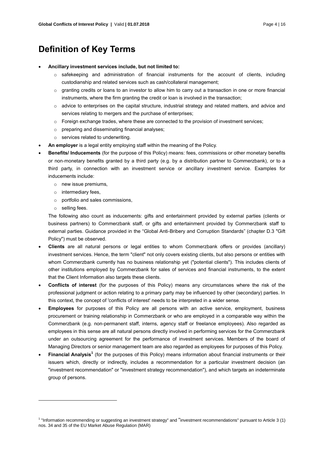## <span id="page-3-0"></span>**Definition of Key Terms**

#### **Ancillary investment services include, but not limited to:**

- o safekeeping and administration of financial instruments for the account of clients, including custodianship and related services such as cash/collateral management;
- $\circ$  granting credits or loans to an investor to allow him to carry out a transaction in one or more financial instruments, where the firm granting the credit or loan is involved in the transaction;
- $\circ$  advice to enterprises on the capital structure, industrial strategy and related matters, and advice and services relating to mergers and the purchase of enterprises;
- $\circ$  Foreign exchange trades, where these are connected to the provision of investment services;
- o preparing and disseminating financial analyses;
- o services related to underwriting.
- **An employer** is a legal entity employing staff within the meaning of the Policy.
- **Benefits/ Inducements** (for the purpose of this Policy) means: fees, commissions or other monetary benefits or non-monetary benefits granted by a third party (e.g. by a distribution partner to Commerzbank), or to a third party, in connection with an investment service or ancillary investment service. Examples for inducements include:
	- o new issue premiums,
	- o intermediary fees,
	- o portfolio and sales commissions,
	- o selling fees.

 $\overline{a}$ 

The following also count as inducements: gifts and entertainment provided by external parties (clients or business partners) to Commerzbank staff, or gifts and entertainment provided by Commerzbank staff to external parties. Guidance provided in the "Global Anti-Bribery and Corruption Standards" (chapter D.3 "Gift Policy") must be observed.

- **Clients** are all natural persons or legal entities to whom Commerzbank offers or provides (ancillary) investment services. Hence, the term "client" not only covers existing clients, but also persons or entities with whom Commerzbank currently has no business relationship yet ("potential clients"). This includes clients of other institutions employed by Commerzbank for sales of services and financial instruments, to the extent that the Client Information also targets these clients.
- **Conflicts of interest** (for the purposes of this Policy) means any circumstances where the risk of the professional judgment or action relating to a primary party may be influenced by other (secondary) parties. In this context, the concept of 'conflicts of interest' needs to be interpreted in a wider sense.
- **Employees** for purposes of this Policy are all persons with an active service, employment, business procurement or training relationship in Commerzbank or who are employed in a comparable way within the Commerzbank (e.g. non-permanent staff, interns, agency staff or freelance employees). Also regarded as employees in this sense are all natural persons directly involved in performing services for the Commerzbank under an outsourcing agreement for the performance of investment services. Members of the board of Managing Directors or senior management team are also regarded as employees for purposes of this Policy.
- **Financial Analysis<sup>1</sup>** (for the purposes of this Policy) means information about financial instruments or their issuers which, directly or indirectly, includes a recommendation for a particular investment decision (an "investment recommendation" or "investment strategy recommendation"), and which targets an indeterminate group of persons.

<sup>1</sup> "Information recommending or suggesting an investment strategy" and "investment recommendations" pursuant to Article 3 (1) nos. 34 and 35 of the EU Market Abuse Regulation (MAR)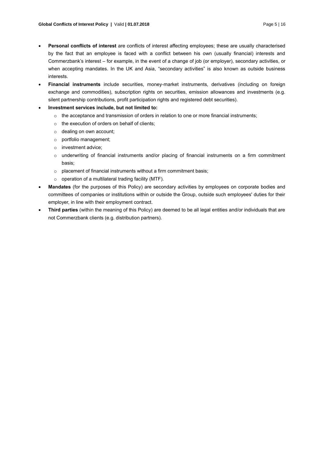- **Personal conflicts of interest** are conflicts of interest affecting employees; these are usually characterised by the fact that an employee is faced with a conflict between his own (usually financial) interests and Commerzbank's interest – for example, in the event of a change of job (or employer), secondary activities, or when accepting mandates. In the UK and Asia, "secondary activities" is also known as outside business interests.
- **Financial instruments** include securities, money-market instruments, derivatives (including on foreign exchange and commodities), subscription rights on securities, emission allowances and investments (e.g. silent partnership contributions, profit participation rights and registered debt securities).
- **Investment services include, but not limited to:**
	- $\circ$  the acceptance and transmission of orders in relation to one or more financial instruments;
	- o the execution of orders on behalf of clients;
	- o dealing on own account;
	- o portfolio management;
	- o investment advice;
	- o underwriting of financial instruments and/or placing of financial instruments on a firm commitment basis;
	- o placement of financial instruments without a firm commitment basis;
	- $\circ$  operation of a multilateral trading facility (MTF).
- **Mandates** (for the purposes of this Policy) are secondary activities by employees on corporate bodies and committees of companies or institutions within or outside the Group, outside such employees' duties for their employer, in line with their employment contract.
- **Third parties** (within the meaning of this Policy) are deemed to be all legal entities and/or individuals that are not Commerzbank clients (e.g. distribution partners).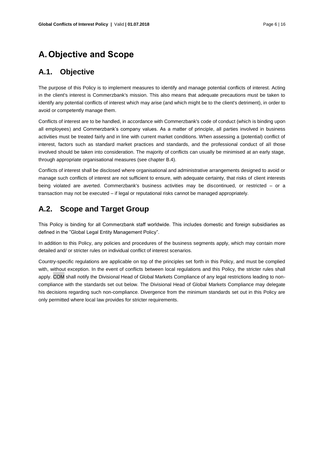## <span id="page-5-0"></span>**A.Objective and Scope**

## <span id="page-5-1"></span>**A.1. Objective**

The purpose of this Policy is to implement measures to identify and manage potential conflicts of interest. Acting in the client's interest is Commerzbank's mission. This also means that adequate precautions must be taken to identify any potential conflicts of interest which may arise (and which might be to the client's detriment), in order to avoid or competently manage them.

Conflicts of interest are to be handled, in accordance with Commerzbank's code of conduct (which is binding upon all employees) and Commerzbank's company values. As a matter of principle, all parties involved in business activities must be treated fairly and in line with current market conditions. When assessing a (potential) conflict of interest, factors such as standard market practices and standards, and the professional conduct of all those involved should be taken into consideration. The majority of conflicts can usually be minimised at an early stage, through appropriate organisational measures (see chapter [B.4\)](#page-8-3).

Conflicts of interest shall be disclosed where organisational and administrative arrangements designed to avoid or manage such conflicts of interest are not sufficient to ensure, with adequate certainty, that risks of client interests being violated are averted. Commerzbank's business activities may be discontinued, or restricted – or a transaction may not be executed – if legal or reputational risks cannot be managed appropriately.

## <span id="page-5-2"></span>**A.2. Scope and Target Group**

This Policy is binding for all Commerzbank staff worldwide. This includes domestic and foreign subsidiaries as defined in the "Global Legal Entity Management Policy".

In addition to this Policy, any policies and procedures of the business segments apply, which may contain more detailed and/ or stricter rules on individual conflict of interest scenarios.

Country-specific regulations are applicable on top of the principles set forth in this Policy, and must be complied with, without exception. In the event of conflicts between local regulations and this Policy, the stricter rules shall apply. COM shall notify the Divisional Head of Global Markets Compliance of any legal restrictions leading to noncompliance with the standards set out below. The Divisional Head of Global Markets Compliance may delegate his decisions regarding such non-compliance. Divergence from the minimum standards set out in this Policy are only permitted where local law provides for stricter requirements.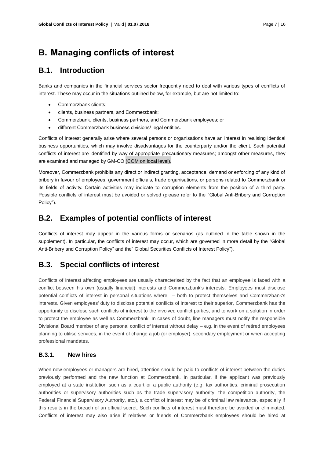## <span id="page-6-0"></span>**B. Managing conflicts of interest**

### <span id="page-6-1"></span>**B.1. Introduction**

Banks and companies in the financial services sector frequently need to deal with various types of conflicts of interest. These may occur in the situations outlined below, for example, but are not limited to:

- Commerzbank clients;
- clients, business partners, and Commerzbank;
- Commerzbank, clients, business partners, and Commerzbank employees; or
- different Commerzbank business divisions/ legal entities.

Conflicts of interest generally arise where several persons or organisations have an interest in realising identical business opportunities, which may involve disadvantages for the counterparty and/or the client. Such potential conflicts of interest are identified by way of appropriate precautionary measures; amongst other measures, they are examined and managed by GM-CO (COM on local level).

Moreover, Commerzbank prohibits any direct or indirect granting, acceptance, demand or enforcing of any kind of bribery in favour of employees, government officials, trade organisations, or persons related to Commerzbank or its fields of activity. Certain activities may indicate to corruption elements from the position of a third party. Possible conflicts of interest must be avoided or solved (please refer to the "Global Anti-Bribery and Corruption Policy").

## <span id="page-6-2"></span>**B.2. Examples of potential conflicts of interest**

Conflicts of interest may appear in the various forms or scenarios (as outlined in the table shown in the supplement). In particular, the conflicts of interest may occur, which are governed in more detail by the "Global Anti-Bribery and Corruption Policy" and the" Global Securities Conflicts of Interest Policy").

## <span id="page-6-3"></span>**B.3. Special conflicts of interest**

Conflicts of interest affecting employees are usually characterised by the fact that an employee is faced with a conflict between his own (usually financial) interests and Commerzbank's interests. Employees must disclose potential conflicts of interest in personal situations where – both to protect themselves and Commerzbank's interests. Given employees' duty to disclose potential conflicts of interest to their superior, Commerzbank has the opportunity to disclose such conflicts of interest to the involved conflict parties, and to work on a solution in order to protect the employee as well as Commerzbank. In cases of doubt, line managers must notify the responsible Divisional Board member of any personal conflict of interest without delay – e.g. in the event of retired employees planning to utilise services, in the event of change a job (or employer), secondary employment or when accepting professional mandates.

#### <span id="page-6-4"></span>**B.3.1. New hires**

When new employees or managers are hired, attention should be paid to conflicts of interest between the duties previously performed and the new function at Commerzbank. In particular, if the applicant was previously employed at a state institution such as a court or a public authority (e.g. tax authorities, criminal prosecution authorities or supervisory authorities such as the trade supervisory authority, the competition authority, the Federal Financial Supervisory Authority, etc.), a conflict of interest may be of criminal law relevance, especially if this results in the breach of an official secret. Such conflicts of interest must therefore be avoided or eliminated. Conflicts of interest may also arise if relatives or friends of Commerzbank employees should be hired at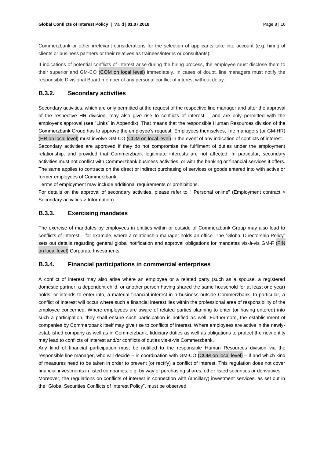Commerzbank or other irrelevant considerations for the selection of applicants take into account (e.g. hiring of clients or business partners or their relatives as trainees/interns or consultants).

If indications of potential conflicts of interest arise during the hiring process, the employee must disclose them to their superior and GM-CO (COM on local level) immediately. In cases of doubt, line managers must notify the responsible Divisional Board member of any personal conflict of interest without delay.

#### <span id="page-7-0"></span>**B.3.2. Secondary activities**

Secondary activities, which are only permitted at the request of the respective line manager and after the approval of the respective HR division, may also give rise to conflicts of interest – and are only permitted with the employer's approval (see "Links" i[n Appendix\)](#page-14-0). That means that the responsible Human Resources division of the Commerzbank Group has to approve the employee's request. Employees themselves, line managers (or GM-HR) (HR on local level) must involve GM-CO (COM on local level) in the event of any indication of conflicts of interest. Secondary activities are approved if they do not compromise the fulfilment of duties under the employment relationship, and provided that Commerzbank legitimate interests are not affected. In particular, secondary

activities must not conflict with Commerzbank business activities, or with the banking or financial services it offers. The same applies to contracts on the direct or indirect purchasing of services or goods entered into with active or former employees of Commerzbank.

Terms of employment may include additional requirements or prohibitions.

For details on the approval of secondary activities, please refer to " Personal online" (Employment contract > Secondary activities > Information).

#### <span id="page-7-1"></span>**B.3.3. Exercising mandates**

The exercise of mandates by employees in entities within or outside of Commerzbank Group may also lead to conflicts of interest – for example, where a relationship manager holds an office. The ["Global Directorship Policy"](http://comnet.intranet.commerzbank.com/comnet/en/zentrale_1/arbeitsmittel_5/richtlinienanweisungen/globalemandatspolicy/globalemandatspolicy.jsp) sets out details regarding general global notification and approval obligations for mandates vis-à-vis GM-F (FIN on local level) Corporate Investments.

#### <span id="page-7-2"></span>**B.3.4. Financial participations in commercial enterprises**

A conflict of interest may also arise where an employee or a related party (such as a spouse, a registered domestic partner, a dependent child, or another person having shared the same household for at least one year) holds, or intends to enter into, a material financial interest in a business outside Commerzbank. In particular, a conflict of interest will occur where such a financial interest lies within the professional area of responsibility of the employee concerned. Where employees are aware of related parties planning to enter (or having entered) into such a participation, they shall ensure such participation is notified as well. Furthermore, the establishment of companies by Commerzbank itself may give rise to conflicts of interest. Where employees are active in the newlyestablished company as well as in Commerzbank, fiduciary duties as well as obligations to protect the new entity may lead to conflicts of interest and/or conflicts of duties vis-à-vis Commerzbank.

Any kind of financial participation must be notified to the responsible Human Resources division via the responsible line manager, who will decide – in coordination with GM-CO (COM on local level) – if and which kind of measures need to be taken in order to prevent (or rectify) a conflict of interest. This regulation does not cover financial investments in listed companies, e.g. by way of purchasing shares, other listed securities or derivatives. Moreover, the regulations on conflicts of interest in connection with (ancillary) investment services, as set out in the "Global Securities Conflicts of Interest Policy", must be observed.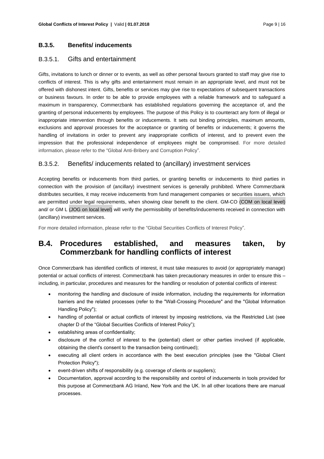#### <span id="page-8-0"></span>**B.3.5. Benefits/ inducements**

#### <span id="page-8-1"></span>B.3.5.1. Gifts and entertainment

Gifts, invitations to lunch or dinner or to events, as well as other personal favours granted to staff may give rise to conflicts of interest. This is why gifts and entertainment must remain in an appropriate level, and must not be offered with dishonest intent. Gifts, benefits or services may give rise to expectations of subsequent transactions or business favours. In order to be able to provide employees with a reliable framework and to safeguard a maximum in transparency, Commerzbank has established regulations governing the acceptance of, and the granting of personal inducements by employees. The purpose of this Policy is to counteract any form of illegal or inappropriate intervention through benefits or inducements. It sets out binding principles, maximum amounts, exclusions and approval processes for the acceptance or granting of benefits or inducements; it governs the handling of invitations in order to prevent any inappropriate conflicts of interest, and to prevent even the impression that the professional independence of employees might be compromised. For more detailed information, please refer to the "Global Anti-Bribery and Corruption Policy".

#### <span id="page-8-2"></span>B.3.5.2. Benefits/ inducements related to (ancillary) investment services

Accepting benefits or inducements from third parties, or granting benefits or inducements to third parties in connection with the provision of (ancillary) investment services is generally prohibited. Where Commerzbank distributes securities, it may receive inducements from fund management companies or securities issuers, which are permitted under legal requirements, when showing clear benefit to the client. GM-CO (COM on local level) and/ or GM L (JOG on local level) will verify the permissibility of benefits/inducements received in connection with (ancillary) investment services.

For more detailed information, please refer to the "Global Securities Conflicts of Interest Policy".

## <span id="page-8-3"></span>**B.4. Procedures established, and measures taken, by Commerzbank for handling conflicts of interest**

Once Commerzbank has identified conflicts of interest, it must take measures to avoid (or appropriately manage) potential or actual conflicts of interest. Commerzbank has taken precautionary measures in order to ensure this – including, in particular, procedures and measures for the handling or resolution of potential conflicts of interest:

- monitoring the handling and disclosure of inside information, including the requirements for information barriers and the related processes (refer to the "Wall-Crossing Procedure" and the "Global Information Handling Policy");
- handling of potential or actual conflicts of interest by imposing restrictions, via the Restricted List (see chapter D of the "Global Securities Conflicts of Interest Policy");
- establishing areas of confidentiality;
- disclosure of the conflict of interest to the (potential) client or other parties involved (if applicable, obtaining the client's consent to the transaction being continued);
- executing all client orders in accordance with the best execution principles (see the "Global Client Protection Policy");
- event-driven shifts of responsibility (e.g. coverage of clients or suppliers);
- Documentation, approval according to the responsibility and control of inducements in tools provided for this purpose at Commerzbank AG Inland, New York and the UK. In all other locations there are manual processes.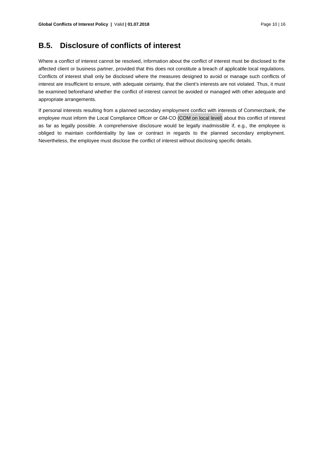## <span id="page-9-0"></span>**B.5. Disclosure of conflicts of interest**

Where a conflict of interest cannot be resolved, information about the conflict of interest must be disclosed to the affected client or business partner, provided that this does not constitute a breach of applicable local regulations. Conflicts of interest shall only be disclosed where the measures designed to avoid or manage such conflicts of interest are insufficient to ensure, with adequate certainty, that the client's interests are not violated. Thus, it must be examined beforehand whether the conflict of interest cannot be avoided or managed with other adequate and appropriate arrangements.

If personal interests resulting from a planned secondary employment conflict with interests of Commerzbank, the employee must inform the Local Compliance Officer or GM-CO (COM on local level) about this conflict of interest as far as legally possible. A comprehensive disclosure would be legally inadmissible if, e.g., the employee is obliged to maintain confidentiality by law or contract in regards to the planned secondary employment. Nevertheless, the employee must disclose the conflict of interest without disclosing specific details.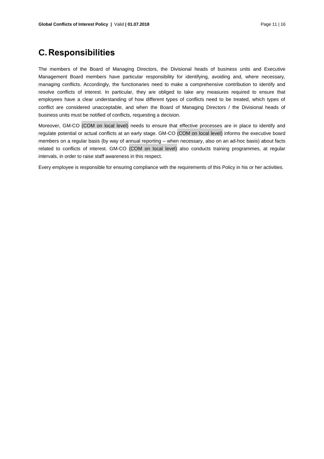## <span id="page-10-0"></span>**C.Responsibilities**

The members of the Board of Managing Directors, the Divisional heads of business units and Executive Management Board members have particular responsibility for identifying, avoiding and, where necessary, managing conflicts. Accordingly, the functionaries need to make a comprehensive contribution to identify and resolve conflicts of interest. In particular, they are obliged to take any measures required to ensure that employees have a clear understanding of how different types of conflicts need to be treated, which types of conflict are considered unacceptable, and when the Board of Managing Directors / the Divisional heads of business units must be notified of conflicts, requesting a decision.

Moreover, GM-CO (COM on local level) needs to ensure that effective processes are in place to identify and regulate potential or actual conflicts at an early stage. GM-CO (COM on local level) informs the executive board members on a regular basis (by way of annual reporting – when necessary, also on an ad-hoc basis) about facts related to conflicts of interest. GM-CO (COM on local level) also conducts training programmes, at regular intervals, in order to raise staff awareness in this respect.

Every employee is responsible for ensuring compliance with the requirements of this Policy in his or her activities.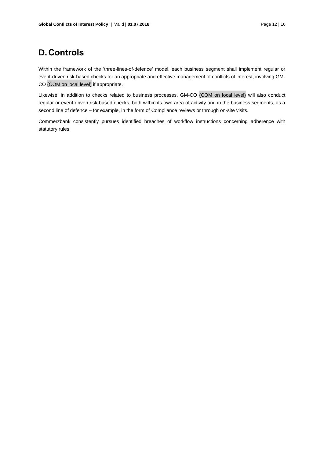## <span id="page-11-0"></span>**D.Controls**

Within the framework of the 'three-lines-of-defence' model, each business segment shall implement regular or event-driven risk-based checks for an appropriate and effective management of conflicts of interest, involving GM-CO (COM on local level) if appropriate.

Likewise, in addition to checks related to business processes, GM-CO (COM on local level) will also conduct regular or event-driven risk-based checks, both within its own area of activity and in the business segments, as a second line of defence – for example, in the form of Compliance reviews or through on-site visits.

Commerzbank consistently pursues identified breaches of workflow instructions concerning adherence with statutory rules.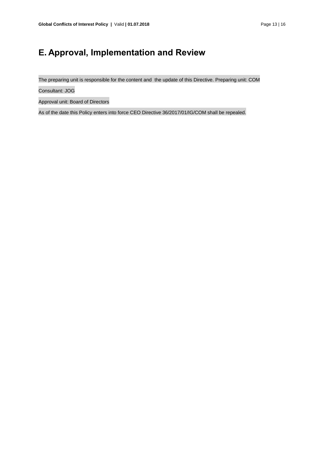# <span id="page-12-0"></span>**E. Approval, Implementation and Review**

The preparing unit is responsible for the content and the update of this Directive. Preparing unit: COM

Consultant: JOG

Approval unit: Board of Directors

As of the date this Policy enters into force CEO Directive 36/2017/01/IG/COM shall be repealed.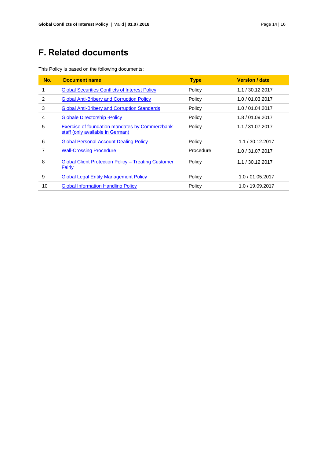# <span id="page-13-0"></span>**F. Related documents**

|  |  | This Policy is based on the following documents: |
|--|--|--------------------------------------------------|
|  |  |                                                  |

| No. | <b>Document name</b>                                                               | <b>Type</b> | <b>Version / date</b> |
|-----|------------------------------------------------------------------------------------|-------------|-----------------------|
| 1   | <b>Global Securities Conflicts of Interest Policy</b>                              | Policy      | 1.1 / 30.12.2017      |
| 2   | <b>Global Anti-Bribery and Corruption Policy</b>                                   | Policy      | 1.0 / 01.03.2017      |
| 3   | <b>Global Anti-Bribery and Corruption Standards</b>                                | Policy      | 1.0 / 01.04.2017      |
| 4   | <b>Globale Directorship - Policy</b>                                               | Policy      | 1.8 / 01.09.2017      |
| 5   | Exercise of foundation mandates by Commerzbank<br>staff (only available in German) | Policy      | 1.1 / 31.07.2017      |
| 6   | <b>Global Personal Account Dealing Policy</b>                                      | Policy      | 1.1 / 30.12.2017      |
| 7   | <b>Wall-Crossing Procedure</b>                                                     | Procedure   | 1.0 / 31.07.2017      |
| 8   | <b>Global Client Protection Policy - Treating Customer</b><br><b>Fairly</b>        | Policy      | 1.1 / 30.12.2017      |
| 9   | <b>Global Legal Entity Management Policy</b>                                       | Policy      | 1.0 / 01.05.2017      |
| 10  | <b>Global Information Handling Policy</b>                                          | Policy      | 1.0 / 19.09.2017      |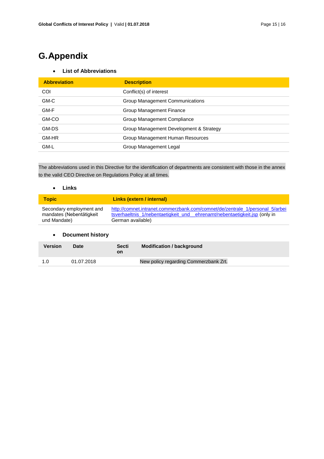# <span id="page-14-0"></span>**G.Appendix**

#### **List of Abbreviations**

| <b>Abbreviation</b> | <b>Description</b>                      |
|---------------------|-----------------------------------------|
| COI                 | Conflict(s) of interest                 |
| GM-C                | Group Management Communications         |
| GM-F                | Group Management Finance                |
| GM-CO               | Group Management Compliance             |
| GM-DS               | Group Management Development & Strategy |
| GM-HR               | Group Management Human Resources        |
| GM-L                | Group Management Legal                  |

The abbreviations used in this Directive for the identification of departments are consistent with those in the annex to the valid CEO Directive on Regulations Policy at all times.

#### **Links**

| <b>Topic</b>             | Links (extern / internal)                                                    |
|--------------------------|------------------------------------------------------------------------------|
| Secondary employment and | http://comnet.intranet.commerzbank.com/comnet/de/zentrale 1/personal 5/arbei |
| mandates (Nebentätigkeit | tsverhaeltnis 1/nebentaetigkeit und ehrenamt/nebentaetigkeit.jsp (only in    |
| und Mandate)             | German available)                                                            |

#### **Document history**

| Version | Date       | <b>Secti</b><br>on | <b>Modification / background</b>      |
|---------|------------|--------------------|---------------------------------------|
| 1.0     | 01.07.2018 |                    | New policy regarding Commerzbank Zrt. |